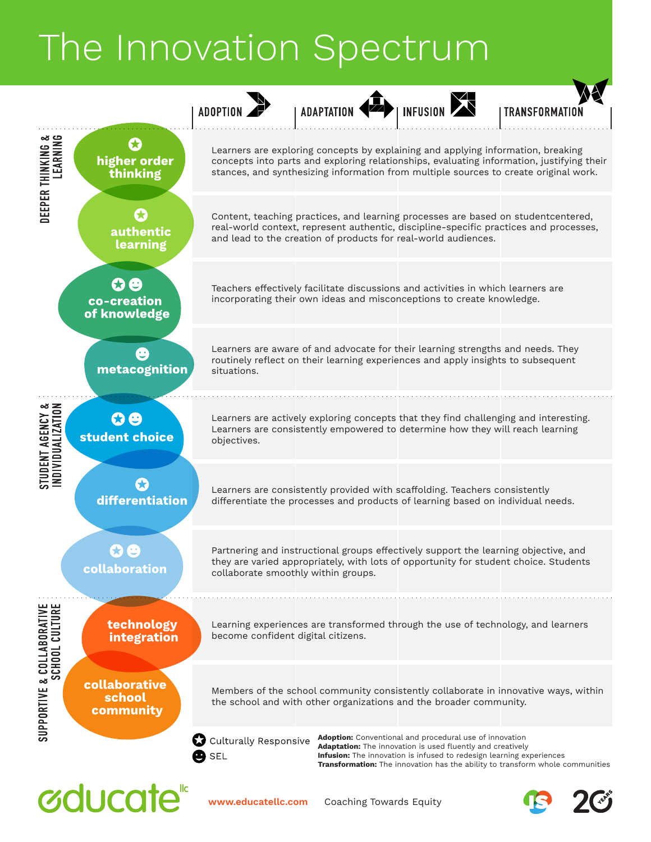## The Innovation Spectrum

|                                                        |                                      | <b>ADOPTIC</b>                                       | <b>ADAPTATION</b>                                                                                                                                                                                                                            | INFUSION <sup>1</sup>                                                                                                                                                                                       | <b>TRANSFORMATIO</b>                                                                      |
|--------------------------------------------------------|--------------------------------------|------------------------------------------------------|----------------------------------------------------------------------------------------------------------------------------------------------------------------------------------------------------------------------------------------------|-------------------------------------------------------------------------------------------------------------------------------------------------------------------------------------------------------------|-------------------------------------------------------------------------------------------|
| DEEPER THINKING &<br>Learning                          | 53<br>higher order<br>thinking       |                                                      | Learners are exploring concepts by explaining and applying information, breaking<br>stances, and synthesizing information from multiple sources to create original work.                                                                     |                                                                                                                                                                                                             | concepts into parts and exploring relationships, evaluating information, justifying their |
|                                                        | authentic<br>learning                |                                                      | Content, teaching practices, and learning processes are based on studentcentered,<br>real-world context, represent authentic, discipline-specific practices and processes,<br>and lead to the creation of products for real-world audiences. |                                                                                                                                                                                                             |                                                                                           |
|                                                        | co-creation<br>of knowledge          |                                                      | Teachers effectively facilitate discussions and activities in which learners are<br>incorporating their own ideas and misconceptions to create knowledge.                                                                                    |                                                                                                                                                                                                             |                                                                                           |
|                                                        | metacognition                        | situations.                                          | Learners are aware of and advocate for their learning strengths and needs. They<br>routinely reflect on their learning experiences and apply insights to subsequent                                                                          |                                                                                                                                                                                                             |                                                                                           |
| ייטבמו AGENCY &<br>INDIVIDUALIZATION<br>STUDENT AGENCY | 00<br>student choice                 | objectives.                                          | Learners are actively exploring concepts that they find challenging and interesting.<br>Learners are consistently empowered to determine how they will reach learning                                                                        |                                                                                                                                                                                                             |                                                                                           |
|                                                        | differentiation                      |                                                      | Learners are consistently provided with scaffolding. Teachers consistently<br>differentiate the processes and products of learning based on individual needs.                                                                                |                                                                                                                                                                                                             |                                                                                           |
| & COLLABORATIVE<br>SCHOOL CULTURE<br>SUPPORTIVE        | collaboration                        |                                                      | Partnering and instructional groups effectively support the learning objective, and<br>they are varied appropriately, with lots of opportunity for student choice. Students<br>collaborate smoothly within groups.                           |                                                                                                                                                                                                             |                                                                                           |
|                                                        | technology<br>integration            | become confident digital citizens.                   | Learning experiences are transformed through the use of technology, and learners                                                                                                                                                             |                                                                                                                                                                                                             |                                                                                           |
|                                                        | collaborative<br>school<br>community |                                                      | the school and with other organizations and the broader community.                                                                                                                                                                           |                                                                                                                                                                                                             | Members of the school community consistently collaborate in innovative ways, within       |
|                                                        |                                      | Ø<br><b>Culturally Responsive</b><br>$\mathbf 9$ SEL |                                                                                                                                                                                                                                              | <b>Adoption:</b> Conventional and procedural use of innovation<br><b>Adaptation:</b> The innovation is used fluently and creatively<br>Infusion: The innovation is infused to redesign learning experiences | <b>Transformation:</b> The innovation has the ability to transform whole communities      |





 $2C$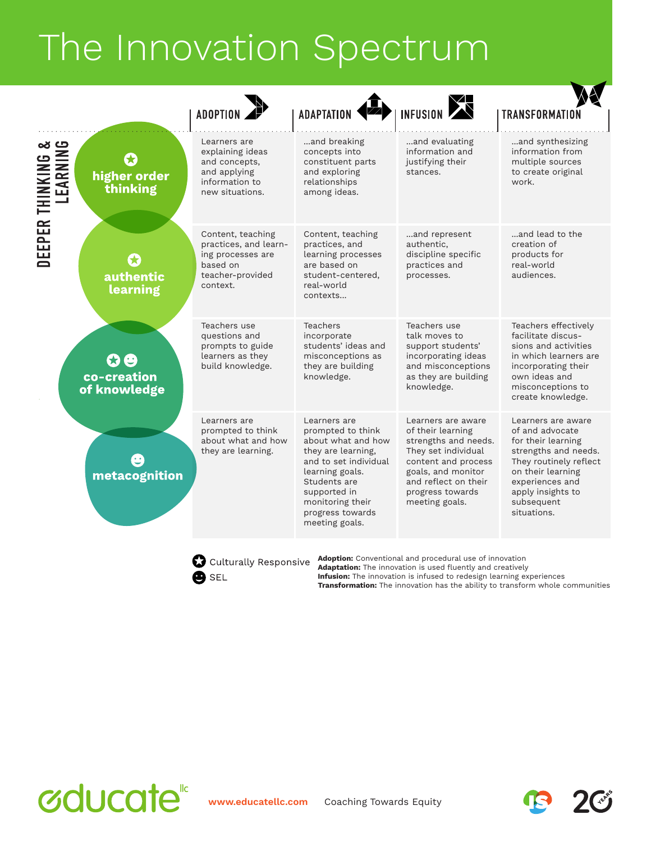## The Innovation Spectrum

| <b>ADOPTION</b>                                                                                             | <b>ADAPTATION</b>                                                                                                                                                                                                   | INFUSION                                                                                                                                                                                          | <b>TRANSFORMATION</b>                                                                                                                                                                                   |
|-------------------------------------------------------------------------------------------------------------|---------------------------------------------------------------------------------------------------------------------------------------------------------------------------------------------------------------------|---------------------------------------------------------------------------------------------------------------------------------------------------------------------------------------------------|---------------------------------------------------------------------------------------------------------------------------------------------------------------------------------------------------------|
| Learners are<br>explaining ideas<br>and concepts,<br>and applying<br>information to<br>new situations.      | and breaking<br>concepts into<br>constituent parts<br>and exploring<br>relationships<br>among ideas.                                                                                                                | and evaluating<br>information and<br>justifying their<br>stances.                                                                                                                                 | and synthesizing<br>information from<br>multiple sources<br>to create original<br>work.                                                                                                                 |
| Content, teaching<br>practices, and learn-<br>ing processes are<br>based on<br>teacher-provided<br>context. | Content, teaching<br>practices, and<br>learning processes<br>are based on<br>student-centered,<br>real-world<br>contexts                                                                                            | and represent<br>authentic,<br>discipline specific<br>practices and<br>processes.                                                                                                                 | and lead to the<br>creation of<br>products for<br>real-world<br>audiences.                                                                                                                              |
| Teachers use<br>questions and<br>prompts to guide<br>learners as they<br>build knowledge.                   | Teachers<br>incorporate<br>students' ideas and<br>misconceptions as<br>they are building<br>knowledge.                                                                                                              | Teachers use<br>talk moves to<br>support students'<br>incorporating ideas<br>and misconceptions<br>as they are building<br>knowledge.                                                             | Teachers effectively<br>facilitate discus-<br>sions and activities<br>in which learners are<br>incorporating their<br>own ideas and<br>misconceptions to<br>create knowledge.                           |
| Learners are<br>prompted to think<br>about what and how<br>they are learning.                               | Learners are<br>prompted to think<br>about what and how<br>they are learning,<br>and to set individual<br>learning goals.<br>Students are<br>supported in<br>monitoring their<br>progress towards<br>meeting goals. | Learners are aware<br>of their learning<br>strengths and needs.<br>They set individual<br>content and process<br>goals, and monitor<br>and reflect on their<br>progress towards<br>meeting goals. | Learners are aware<br>of and advocate<br>for their learning<br>strengths and needs.<br>They routinely reflect<br>on their learning<br>experiences and<br>apply insights to<br>subsequent<br>situations. |
|                                                                                                             | metacognition                                                                                                                                                                                                       |                                                                                                                                                                                                   |                                                                                                                                                                                                         |

 $\bullet$  SEL

**Adoption:** Conventional and procedural use of innovation **Adaptation:** The innovation is used fluently and creatively **Infusion:** The innovation is infused to redesign learning experiences **Transformation:** The innovation has the ability to transform whole communities